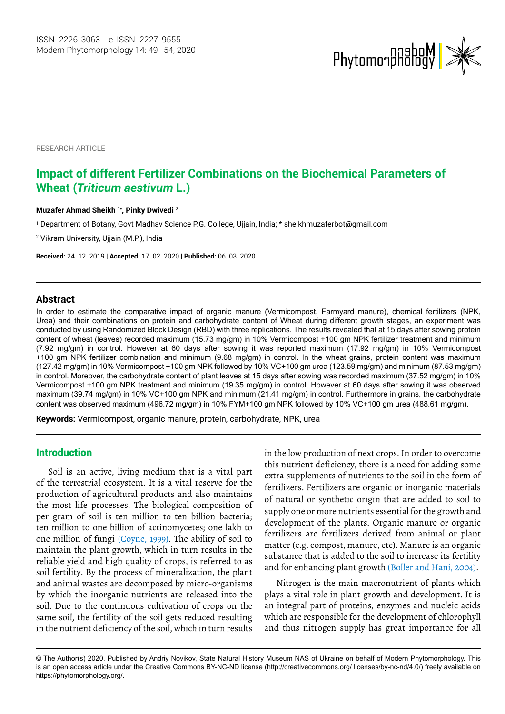

RESEARCH ARTICLE

# **Impact of different Fertilizer Combinations on the Biochemical Parameters of Wheat (***Triticum aestivum* **L.)**

#### **Muzafer Ahmad Sheikh 1\*, Pinky Dwivedi 2**

1 Department of Botany, Govt Madhav Science P.G. College, Ujjain, India; \* sheikhmuzaferbot@gmail.com

2 Vikram University, Ujjain (M.P.), India

**Received:** 24. 12. 2019 | **Accepted:** 17. 02. 2020 | **Published:** 06. 03. 2020

#### **Abstract**

In order to estimate the comparative impact of organic manure (Vermicompost, Farmyard manure), chemical fertilizers (NPK, Urea) and their combinations on protein and carbohydrate content of Wheat during different growth stages, an experiment was conducted by using Randomized Block Design (RBD) with three replications. The results revealed that at 15 days after sowing protein content of wheat (leaves) recorded maximum (15.73 mg/gm) in 10% Vermicompost +100 gm NPK fertilizer treatment and minimum (7.92 mg/gm) in control. However at 60 days after sowing it was reported maximum (17.92 mg/gm) in 10% Vermicompost +100 gm NPK fertilizer combination and minimum (9.68 mg/gm) in control. In the wheat grains, protein content was maximum (127.42 mg/gm) in 10% Vermicompost +100 gm NPK followed by 10% VC+100 gm urea (123.59 mg/gm) and minimum (87.53 mg/gm) in control. Moreover, the carbohydrate content of plant leaves at 15 days after sowing was recorded maximum (37.52 mg/gm) in 10% Vermicompost +100 gm NPK treatment and minimum (19.35 mg/gm) in control. However at 60 days after sowing it was observed maximum (39.74 mg/gm) in 10% VC+100 gm NPK and minimum (21.41 mg/gm) in control. Furthermore in grains, the carbohydrate content was observed maximum (496.72 mg/gm) in 10% FYM+100 gm NPK followed by 10% VC+100 gm urea (488.61 mg/gm).

**Keywords:** Vermicompost, organic manure, protein, carbohydrate, NPK, urea

## Introduction

Soil is an active, living medium that is a vital part of the terrestrial ecosystem. It is a vital reserve for the production of agricultural products and also maintains the most life processes. The biological composition of per gram of soil is ten million to ten billion bacteria; ten million to one billion of actinomycetes; one lakh to one million of fungi (Coyne, 1999). The ability of soil to maintain the plant growth, which in turn results in the reliable yield and high quality of crops, is referred to as soil fertility. By the process of mineralization, the plant and animal wastes are decomposed by micro-organisms by which the inorganic nutrients are released into the soil. Due to the continuous cultivation of crops on the same soil, the fertility of the soil gets reduced resulting in the nutrient deficiency of the soil, which in turn results

in the low production of next crops. In order to overcome this nutrient deficiency, there is a need for adding some extra supplements of nutrients to the soil in the form of fertilizers. Fertilizers are organic or inorganic materials of natural or synthetic origin that are added to soil to supply one or more nutrients essential for the growth and development of the plants. Organic manure or organic fertilizers are fertilizers derived from animal or plant matter (e.g. compost, manure, etc). Manure is an organic substance that is added to the soil to increase its fertility and for enhancing plant growth (Boller and Hani, 2004).

Nitrogen is the main macronutrient of plants which plays a vital role in plant growth and development. It is an integral part of proteins, enzymes and nucleic acids which are responsible for the development of chlorophyll and thus nitrogen supply has great importance for all

<sup>©</sup> The Author(s) 2020. Published by Andriy Novikov, State Natural History Museum NAS of Ukraine on behalf of Modern Phytomorphology. This is an open access article under the Creative Commons BY-NC-ND license (http://creativecommons.org/ licenses/by-nc-nd/4.0/) freely available on https://phytomorphology.org/.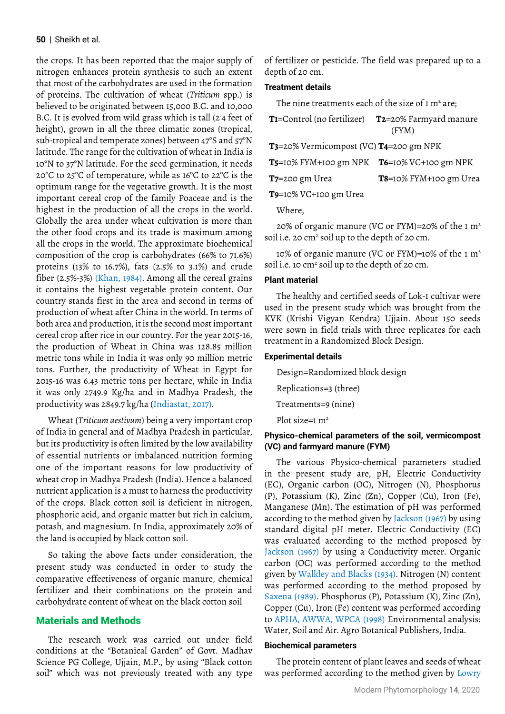the crops. It has been reported that the major supply of nitrogen enhances protein synthesis to such an extent that most of the carbohydrates are used in the formation of proteins. The cultivation of wheat (*Triticum* spp.) is believed to be originated between 15,000 B.C. and 10,000 B.C. It is evolved from wild grass which is tall (2- 4 feet of height), grown in all the three climatic zones (tropical, sub-tropical and temperate zones) between 47°S and 57°N latitude. The range for the cultivation of wheat in India is 10°N to 37°N latitude. For the seed germination, it needs 20°C to 25°C of temperature, while as 16°C to 22°C is the optimum range for the vegetative growth. It is the most important cereal crop of the family Poaceae and is the highest in the production of all the crops in the world. Globally the area under wheat cultivation is more than the other food crops and its trade is maximum among all the crops in the world. The approximate biochemical composition of the crop is carbohydrates (66% to 71.6%) proteins (13% to 16.7%), fats (2.5% to 3.1%) and crude fiber (2.5%-3%) (Khan, 1984). Among all the cereal grains it contains the highest vegetable protein content. Our country stands first in the area and second in terms of production of wheat after China in the world. In terms of both area and production, it is the second most important cereal crop after rice in our country. For the year 2015-16, the production of Wheat in China was 128.85 million metric tons while in India it was only 90 million metric tons. Further, the productivity of Wheat in Egypt for 2015-16 was 6.43 metric tons per hectare, while in India it was only 2749.9 Kg/ha and in Madhya Pradesh, the productivity was 2849.7 kg/ha (Indiastat, 2017).

Wheat (*Triticum aestivum*) being a very important crop of India in general and of Madhya Pradesh in particular, but its productivity is often limited by the low availability of essential nutrients or imbalanced nutrition forming one of the important reasons for low productivity of wheat crop in Madhya Pradesh (India). Hence a balanced nutrient application is a must to harness the productivity of the crops. Black cotton soil is deficient in nitrogen, phosphoric acid, and organic matter but rich in calcium, potash, and magnesium. In India, approximately 20% of the land is occupied by black cotton soil.

So taking the above facts under consideration, the present study was conducted in order to study the comparative effectiveness of organic manure, chemical fertilizer and their combinations on the protein and carbohydrate content of wheat on the black cotton soil

## Materials and Methods

The research work was carried out under field conditions at the "Botanical Garden" of Govt. Madhav Science PG College, Ujjain, M.P., by using "Black cotton soil" which was not previously treated with any type

of fertilizer or pesticide. The field was prepared up to a depth of 20 cm.

## **Treatment details**

The nine treatments each of the size of 1 m² are;

| <b>T1</b> =Control (no fertilizer) <b>T2</b> =20% Farmyard manure |
|-------------------------------------------------------------------|
| (FYM)                                                             |

**T3**=20% Vermicompost (VC) **T4**=200 gm NPK

| <b>T5</b> =10% FYM+100 gm NPK <b>T6</b> =10% VC+100 gm NPK |  |
|------------------------------------------------------------|--|
|------------------------------------------------------------|--|

| $T$ 7=200 gm Urea | T8=10% FYM+100 gm Urea |
|-------------------|------------------------|
|-------------------|------------------------|

**T9**=10% VC+100 gm Urea

Where,

20% of organic manure (VC or FYM)=20% of the 1 m2 soil i.e. 20 cm<sup>2</sup> soil up to the depth of 20 cm.

10% of organic manure (VC or FYM)=10% of the 1  $m<sup>2</sup>$ soil i.e. 10 cm<sup>2</sup> soil up to the depth of 20 cm.

## **Plant material**

The healthy and certified seeds of Lok-1 cultivar were used in the present study which was brought from the KVK (Krishi Vigyan Kendra) Ujjain. About 150 seeds were sown in field trials with three replicates for each treatment in a Randomized Block Design.

### **Experimental details**

Design=Randomized block design

- Replications=3 (three)
- Treatments=9 (nine)

Plot size= $1 \text{ m}^2$ 

## **Physico-chemical parameters of the soil, vermicompost (VC) and farmyard manure (FYM)**

The various Physico-chemical parameters studied in the present study are, pH, Electric Conductivity (EC), Organic carbon (OC), Nitrogen (N), Phosphorus (P), Potassium (K), Zinc (Zn), Copper (Cu), Iron (Fe), Manganese (Mn). The estimation of pH was performed according to the method given by Jackson (1967) by using standard digital pH meter. Electric Conductivity (EC) was evaluated according to the method proposed by Jackson (1967) by using a Conductivity meter. Organic carbon (OC) was performed according to the method given by Walkley and Blacks (1934). Nitrogen (N) content was performed according to the method proposed by Saxena (1989). Phosphorus (P), Potassium (K), Zinc (Zn), Copper (Cu), Iron (Fe) content was performed according to APHA, AWWA, WPCA (1998) Environmental analysis: Water, Soil and Air. Agro Botanical Publishers, India.

#### **Biochemical parameters**

The protein content of plant leaves and seeds of wheat was performed according to the method given by Lowry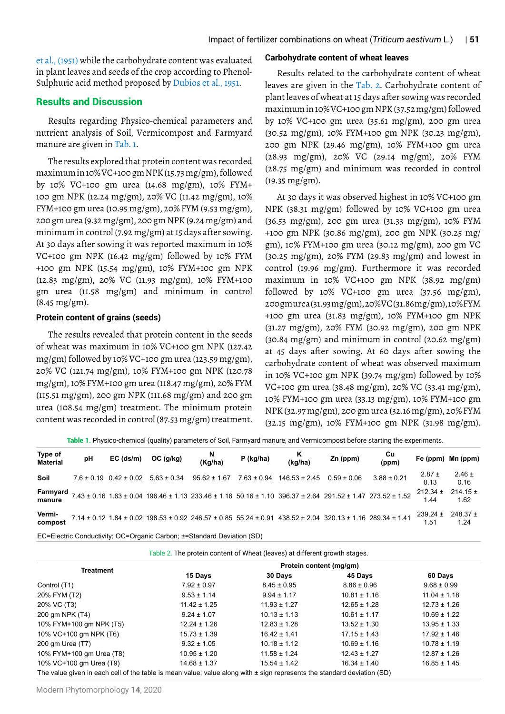et al., (1951) while the carbohydrate content was evaluated in plant leaves and seeds of the crop according to Phenol-Sulphuric acid method proposed by Dubios et al., 1951.

## Results and Discussion

Results regarding Physico-chemical parameters and nutrient analysis of Soil, Vermicompost and Farmyard manure are given in Tab. 1.

The results explored that protein content was recorded maximum in 10% VC+100 gm NPK (15.73 mg/gm), followed by 10% VC+100 gm urea (14.68 mg/gm), 10% FYM+ 100 gm NPK (12.24 mg/gm), 20% VC (11.42 mg/gm), 10% FYM+100 gm urea (10.95 mg/gm), 20% FYM (9.53 mg/gm), 200 gm urea (9.32 mg/gm), 200 gm NPK (9.24 mg/gm) and minimum in control (7.92 mg/gm) at 15 days after sowing. At 30 days after sowing it was reported maximum in 10% VC+100 gm NPK (16.42 mg/gm) followed by 10% FYM +100 gm NPK (15.54 mg/gm), 10% FYM+100 gm NPK (12.83 mg/gm), 20% VC (11.93 mg/gm), 10% FYM+100 gm urea (11.58 mg/gm) and minimum in control (8.45 mg/gm).

#### **Protein content of grains (seeds)**

The results revealed that protein content in the seeds of wheat was maximum in 10% VC+100 gm NPK (127.42 mg/gm) followed by 10% VC+100 gm urea (123.59 mg/gm), 20% VC (121.74 mg/gm), 10% FYM+100 gm NPK (120.78 mg/gm), 10% FYM+100 gm urea (118.47 mg/gm), 20% FYM (115.51 mg/gm), 200 gm NPK (111.68 mg/gm) and 200 gm urea (108.54 mg/gm) treatment. The minimum protein content was recorded in control (87.53 mg/gm) treatment.

#### **Carbohydrate content of wheat leaves**

Results related to the carbohydrate content of wheat leaves are given in the Tab. 2. Carbohydrate content of plant leaves of wheat at 15 days after sowing was recorded maximum in 10% VC+100 gm NPK (37.52 mg/gm) followed by 10% VC+100 gm urea (35.61 mg/gm), 200 gm urea (30.52 mg/gm), 10% FYM+100 gm NPK (30.23 mg/gm), 200 gm NPK (29.46 mg/gm), 10% FYM+100 gm urea (28.93 mg/gm), 20% VC (29.14 mg/gm), 20% FYM (28.75 mg/gm) and minimum was recorded in control (19.35 mg/gm).

At 30 days it was observed highest in 10% VC+100 gm NPK (38.31 mg/gm) followed by 10% VC+100 gm urea (36.53 mg/gm), 200 gm urea (31.33 mg/gm), 10% FYM +100 gm NPK (30.86 mg/gm), 200 gm NPK (30.25 mg/ gm), 10% FYM+100 gm urea (30.12 mg/gm), 200 gm VC (30.25 mg/gm), 20% FYM (29.83 mg/gm) and lowest in control (19.96 mg/gm). Furthermore it was recorded maximum in 10% VC+100 gm NPK (38.92 mg/gm) followed by 10% VC+100 gm urea  $(37.56 \text{ mg/gm})$ , 200 gm urea (31.93 mg/gm), 20% VC (31.86 mg/gm), 10% FYM +100 gm urea (31.83 mg/gm), 10% FYM+100 gm NPK (31.27 mg/gm), 20% FYM (30.92 mg/gm), 200 gm NPK  $(30.84 \text{ mg/cm})$  and minimum in control  $(20.62 \text{ mg/cm})$ at 45 days after sowing. At 60 days after sowing the carbohydrate content of wheat was observed maximum in 10% VC+100 gm NPK (39.74 mg/gm) followed by 10% VC+100 gm urea (38.48 mg/gm), 20% VC (33.41 mg/gm), 10% FYM+100 gm urea (33.13 mg/gm), 10% FYM+100 gm NPK (32.97 mg/gm), 200 gm urea (32.16 mg/gm), 20% FYM (32.15 mg/gm), 10% FYM+100 gm NPK (31.98 mg/gm).

Table 1. Physico-chemical (quality) parameters of Soil, Farmyard manure, and Vermicompost before starting the experiments.

| Type of<br><b>Material</b> | pH | $EC$ (ds/m)                    | OC (q/kg)       | $N$<br>(Kg/ha)                                                                                                                                      | P (kg/ha)       | K<br>(kg/ha)                      | Zn (ppm) | Cu<br>(ppm)     |                      | Fe (ppm) Mn (ppm)    |
|----------------------------|----|--------------------------------|-----------------|-----------------------------------------------------------------------------------------------------------------------------------------------------|-----------------|-----------------------------------|----------|-----------------|----------------------|----------------------|
| Soil                       |    | $7.6 \pm 0.19$ 0.42 $\pm$ 0.02 | $5.63 \pm 0.34$ | $95.62 \pm 1.67$                                                                                                                                    | $7.63 \pm 0.94$ | $146.53 \pm 2.45$ 0.59 $\pm$ 0.06 |          | $3.88 \pm 0.21$ | $2.87 \pm$<br>0.13   | $2.46 \pm$<br>0.16   |
| manure                     |    |                                |                 | Farmyard $7.43 \pm 0.16$ 1.63 $\pm$ 0.04 196.46 $\pm$ 1.13 233.46 $\pm$ 1.16 50.16 $\pm$ 1.10 396.37 $\pm$ 2.64 291.52 $\pm$ 1.47 273.52 $\pm$ 1.52 |                 |                                   |          |                 | $212.34 \pm$<br>144  | $214.15 \pm$<br>1.62 |
| Vermi-<br>compost          |    |                                |                 | 7.14 ± 0.12 1.84 ± 0.02 198.53 ± 0.92 246.57 ± 0.85 55.24 ± 0.91 438.52 ± 2.04 320.13 ± 1.16 289.34 ± 1.41                                          |                 |                                   |          |                 | $239.24 \pm$<br>1.51 | $248.37 \pm$<br>1.24 |
|                            |    |                                |                 |                                                                                                                                                     |                 |                                   |          |                 |                      |                      |

EC=Electric Conductivity; OC=Organic Carbon; ±=Standard Deviation (SD)

Table 2. The protein content of Wheat (leaves) at different growth stages.

|                                                                                                                         | Protein content (mg/gm) |                  |                  |                  |  |
|-------------------------------------------------------------------------------------------------------------------------|-------------------------|------------------|------------------|------------------|--|
| <b>Treatment</b>                                                                                                        | 15 Days                 | 30 Days          | 45 Days          | 60 Days          |  |
| Control (T1)                                                                                                            | $7.92 \pm 0.97$         | $8.45 \pm 0.95$  | $8.86 \pm 0.96$  | $9.68 \pm 0.99$  |  |
| 20% FYM (T2)                                                                                                            | $9.53 \pm 1.14$         | $9.94 \pm 1.17$  | $10.81 \pm 1.16$ | $11.04 \pm 1.18$ |  |
| 20% VC (T3)                                                                                                             | $11.42 \pm 1.25$        | $11.93 \pm 1.27$ | $12.65 \pm 1.28$ | $12.73 \pm 1.26$ |  |
| 200 gm NPK (T4)                                                                                                         | $9.24 \pm 1.07$         | $10.13 \pm 1.13$ | $10.61 \pm 1.17$ | $10.69 \pm 1.22$ |  |
| 10% FYM+100 gm NPK (T5)                                                                                                 | $12.24 \pm 1.26$        | $12.83 \pm 1.28$ | $13.52 \pm 1.30$ | $13.95 \pm 1.33$ |  |
| 10% VC+100 gm NPK (T6)                                                                                                  | $15.73 \pm 1.39$        | $16.42 \pm 1.41$ | $17.15 \pm 1.43$ | $17.92 \pm 1.46$ |  |
| 200 gm Urea (T7)                                                                                                        | $9.32 \pm 1.05$         | $10.18 \pm 1.12$ | $10.69 \pm 1.16$ | $10.78 \pm 1.19$ |  |
| 10% FYM+100 gm Urea (T8)                                                                                                | $10.95 \pm 1.20$        | $11.58 \pm 1.24$ | $12.43 \pm 1.27$ | $12.87 \pm 1.26$ |  |
| 10% VC+100 gm Urea (T9)                                                                                                 | $14.68 \pm 1.37$        | $15.54 \pm 1.42$ | $16.34 \pm 1.40$ | $16.85 \pm 1.45$ |  |
| The value given in each cell of the table is mean value; value along with ± sign represents the standard deviation (SD) |                         |                  |                  |                  |  |

Modern Phytomorphology **14**, 2020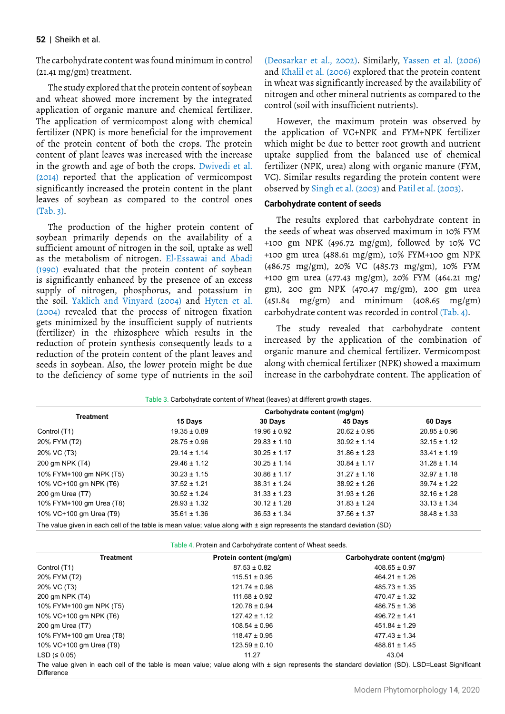### **52** | Sheikh et al.

The carbohydrate content was found minimum in control (21.41 mg/gm) treatment.

The study explored that the protein content of soybean and wheat showed more increment by the integrated application of organic manure and chemical fertilizer. The application of vermicompost along with chemical fertilizer (NPK) is more beneficial for the improvement of the protein content of both the crops. The protein content of plant leaves was increased with the increase in the growth and age of both the crops. Dwivedi et al. (2014) reported that the application of vermicompost significantly increased the protein content in the plant leaves of soybean as compared to the control ones (Tab. 3).

The production of the higher protein content of soybean primarily depends on the availability of a sufficient amount of nitrogen in the soil, uptake as well as the metabolism of nitrogen. El-Essawai and Abadi (1990) evaluated that the protein content of soybean is significantly enhanced by the presence of an excess supply of nitrogen, phosphorus, and potassium in the soil. Yaklich and Vinyard (2004) and Hyten et al. (2004) revealed that the process of nitrogen fixation gets minimized by the insufficient supply of nutrients (fertilizer) in the rhizosphere which results in the reduction of protein synthesis consequently leads to a reduction of the protein content of the plant leaves and seeds in soybean. Also, the lower protein might be due to the deficiency of some type of nutrients in the soil

(Deosarkar et al., 2002). Similarly, Yassen et al. (2006) and Khalil et al. (2006) explored that the protein content in wheat was significantly increased by the availability of nitrogen and other mineral nutrients as compared to the control (soil with insufficient nutrients).

However, the maximum protein was observed by the application of VC+NPK and FYM+NPK fertilizer which might be due to better root growth and nutrient uptake supplied from the balanced use of chemical fertilizer (NPK, urea) along with organic manure (FYM, VC). Similar results regarding the protein content were observed by Singh et al. (2003) and Patil et al. (2003).

#### **Carbohydrate content of seeds**

The results explored that carbohydrate content in the seeds of wheat was observed maximum in 10% FYM +100 gm NPK (496.72 mg/gm), followed by 10% VC +100 gm urea (488.61 mg/gm), 10% FYM+100 gm NPK (486.75 mg/gm), 20% VC (485.73 mg/gm), 10% FYM +100 gm urea (477.43 mg/gm), 20% FYM (464.21 mg/ gm), 200 gm NPK (470.47 mg/gm), 200 gm urea (451.84 mg/gm) and minimum (408.65 mg/gm) carbohydrate content was recorded in control (Tab. 4).

The study revealed that carbohydrate content increased by the application of the combination of organic manure and chemical fertilizer. Vermicompost along with chemical fertilizer (NPK) showed a maximum increase in the carbohydrate content. The application of

| <b>Treatment</b>                                                                                                            |                  |                  |                  |                  |
|-----------------------------------------------------------------------------------------------------------------------------|------------------|------------------|------------------|------------------|
|                                                                                                                             | 15 Days          | 30 Days          | 45 Days          | 60 Days          |
| Control (T1)                                                                                                                | $19.35 \pm 0.89$ | $19.96 \pm 0.92$ | $20.62 \pm 0.95$ | $20.85 \pm 0.96$ |
| 20% FYM (T2)                                                                                                                | $28.75 \pm 0.96$ | $29.83 \pm 1.10$ | $30.92 \pm 1.14$ | $32.15 \pm 1.12$ |
| 20% VC (T3)                                                                                                                 | $29.14 \pm 1.14$ | $30.25 \pm 1.17$ | $31.86 \pm 1.23$ | $33.41 \pm 1.19$ |
| 200 gm NPK (T4)                                                                                                             | $29.46 \pm 1.12$ | $30.25 \pm 1.14$ | $30.84 \pm 1.17$ | $31.28 \pm 1.14$ |
| 10% FYM+100 gm NPK (T5)                                                                                                     | $30.23 \pm 1.15$ | $30.86 \pm 1.17$ | $31.27 \pm 1.16$ | $32.97 \pm 1.18$ |
| 10% VC+100 gm NPK (T6)                                                                                                      | $37.52 \pm 1.21$ | $38.31 \pm 1.24$ | $38.92 \pm 1.26$ | $39.74 \pm 1.22$ |
| 200 gm Urea (T7)                                                                                                            | $30.52 \pm 1.24$ | $31.33 \pm 1.23$ | $31.93 \pm 1.26$ | $32.16 \pm 1.28$ |
| 10% FYM+100 gm Urea (T8)                                                                                                    | $28.93 \pm 1.32$ | $30.12 \pm 1.28$ | $31.83 \pm 1.24$ | $33.13 \pm 1.34$ |
| 10% VC+100 gm Urea (T9)                                                                                                     | $35.61 \pm 1.36$ | $36.53 \pm 1.34$ | $37.56 \pm 1.37$ | $38.48 \pm 1.33$ |
| The value given in each cell of the table is mean value; value along with $\pm$ sign represents the standard deviation (SD) |                  |                  |                  |                  |

| Table 3. Carbohydrate content of Wheat (leaves) at different growth stages. |  |  |
|-----------------------------------------------------------------------------|--|--|
|                                                                             |  |  |

Table 4. Protein and Carbohydrate content of Wheat seeds.

| <b>Treatment</b>         | Protein content (mg/gm) | Carbohydrate content (mg/gm)                                                                                                                       |
|--------------------------|-------------------------|----------------------------------------------------------------------------------------------------------------------------------------------------|
| Control (T1)             | $87.53 \pm 0.82$        | $408.65 \pm 0.97$                                                                                                                                  |
| 20% FYM (T2)             | $115.51 \pm 0.95$       | $464.21 \pm 1.26$                                                                                                                                  |
| 20% VC (T3)              | $121.74 \pm 0.98$       | $485.73 \pm 1.35$                                                                                                                                  |
| 200 gm NPK (T4)          | $111.68 \pm 0.92$       | $470.47 \pm 1.32$                                                                                                                                  |
| 10% FYM+100 gm NPK (T5)  | $120.78 \pm 0.94$       | $486.75 \pm 1.36$                                                                                                                                  |
| 10% VC+100 gm NPK (T6)   | $127.42 \pm 1.12$       | $496.72 \pm 1.41$                                                                                                                                  |
| 200 gm Urea (T7)         | $108.54 \pm 0.96$       | $451.84 \pm 1.29$                                                                                                                                  |
| 10% FYM+100 gm Urea (T8) | $118.47 \pm 0.95$       | $477.43 \pm 1.34$                                                                                                                                  |
| 10% VC+100 gm Urea (T9)  | $123.59 \pm 0.10$       | $488.61 \pm 1.45$                                                                                                                                  |
| LSD $( \le 0.05)$        | 11.27                   | 43.04                                                                                                                                              |
|                          |                         | The value given in each cell of the table is mean value; value along with $\pm$ sign represents the standard deviation (SD). LSD=Least Significant |

The value given in each cell of the table is mean value; value along with ± sign represents the standard deviation (SD). LSD=Least Significant Difference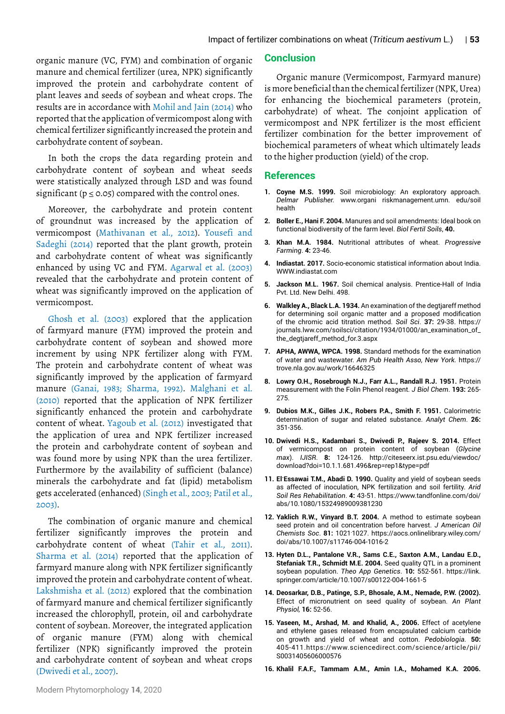organic manure (VC, FYM) and combination of organic manure and chemical fertilizer (urea, NPK) significantly improved the protein and carbohydrate content of plant leaves and seeds of soybean and wheat crops. The results are in accordance with Mohil and Jain (2014) who reported that the application of vermicompost along with chemical fertilizer significantly increased the protein and carbohydrate content of soybean.

In both the crops the data regarding protein and carbohydrate content of soybean and wheat seeds were statistically analyzed through LSD and was found significant ( $p \le 0.05$ ) compared with the control ones.

Moreover, the carbohydrate and protein content of groundnut was increased by the application of vermicompost (Mathivanan et al., 2012). Yousefi and Sadeghi (2014) reported that the plant growth, protein and carbohydrate content of wheat was significantly enhanced by using VC and FYM. Agarwal et al. (2003) revealed that the carbohydrate and protein content of wheat was significantly improved on the application of vermicompost.

Ghosh et al. (2003) explored that the application of farmyard manure (FYM) improved the protein and carbohydrate content of soybean and showed more increment by using NPK fertilizer along with FYM. The protein and carbohydrate content of wheat was significantly improved by the application of farmyard manure (Ganai, 1983; Sharma, 1992). Malghani et al. (2010) reported that the application of NPK fertilizer significantly enhanced the protein and carbohydrate content of wheat. Yagoub et al. (2012) investigated that the application of urea and NPK fertilizer increased the protein and carbohydrate content of soybean and was found more by using NPK than the urea fertilizer. Furthermore by the availability of sufficient (balance) minerals the carbohydrate and fat (lipid) metabolism gets accelerated (enhanced) (Singh et al., 2003; Patil et al., 2003).

The combination of organic manure and chemical fertilizer significantly improves the protein and carbohydrate content of wheat (Tahir et al., 2011). Sharma et al. (2014) reported that the application of farmyard manure along with NPK fertilizer significantly improved the protein and carbohydrate content of wheat. Lakshmisha et al. (2012) explored that the combination of farmyard manure and chemical fertilizer significantly increased the chlorophyll, protein, oil and carbohydrate content of soybean. Moreover, the integrated application of organic manure (FYM) along with chemical fertilizer (NPK) significantly improved the protein and carbohydrate content of soybean and wheat crops (Dwivedi et al., 2007).

## **Conclusion**

Organic manure (Vermicompost, Farmyard manure) is more beneficial than the chemical fertilizer (NPK, Urea) for enhancing the biochemical parameters (protein, carbohydrate) of wheat. The conjoint application of vermicompost and NPK fertilizer is the most efficient fertilizer combination for the better improvement of biochemical parameters of wheat which ultimately leads to the higher production (yield) of the crop.

## **References**

- **1. Coyne M.S. 1999.** Soil microbiology: An exploratory approach. *Delmar Publisher.* www.organi riskmanagement.umn. edu/soil health
- **2. Boller E., Hani F. 2004.** Manures and soil amendments: Ideal book on functional biodiversity of the farm level. *Biol Fertil Soils*, **40.**
- **3. Khan M.A. 1984.** Nutritional attributes of wheat. *Progressive Farming*. **4:** 23-46.
- **4. Indiastat. 2017.** Socio-economic statistical information about India. [WWW.indiastat.com](http://WWW.indiastat.com)
- **5. Jackson M.L. 1967.** Soil chemical analysis. Prentice-Hall of India Pvt. Ltd. New Delhi. 498.
- **6. Walkley A., Black L.A. 1934.** An examination of the degtjareff method for determining soil organic matter and a proposed modification of the chromic acid titration method. *Soil Sci*. **37:** 29-38. [https://](https://journals.lww.com/soilsci/citation/1934/01000/an_examination_of_the_degtjareff_method_for.3.aspx) [journals.lww.com/soilsci/citation/1934/01000/an\\_examination\\_of\\_](https://journals.lww.com/soilsci/citation/1934/01000/an_examination_of_the_degtjareff_method_for.3.aspx) [the\\_degtjareff\\_method\\_for.3.aspx](https://journals.lww.com/soilsci/citation/1934/01000/an_examination_of_the_degtjareff_method_for.3.aspx)
- **7. APHA, AWWA, WPCA. 1998.** Standard methods for the examination of water and wastewater. *Am Pub Health Asso, New York.* [https://](https://trove.nla.gov.au/work/16646325) [trove.nla.gov.au/work/16646325](https://trove.nla.gov.au/work/16646325)
- **8. Lowry O.H., Rosebrough N.J., Farr A.L., Randall R.J. 1951.** Protein measurement with the Folin Phenol reagent. *J Biol Chem*. **193:** 265- 275.
- **9. Dubios M.K., Gilles J.K., Robers P.A., Smith F. 1951.** Calorimetric determination of sugar and related substance. *Analyt Chem*. **26:** 351-356.
- **10. Dwivedi H.S., Kadambari S., Dwivedi P., Rajeev S. 2014.** Effect of vermicompost on protein content of soybean (*Glycine max*). *IJISR*. **8:** 124-126. [http://citeseerx.ist.psu.edu/viewdoc/](http://citeseerx.ist.psu.edu/viewdoc/download?doi=10.1.1.681.496&rep=rep1&type=pdf) [download?doi=10.1.1.681.496&rep=rep1&type=pdf](http://citeseerx.ist.psu.edu/viewdoc/download?doi=10.1.1.681.496&rep=rep1&type=pdf)
- **11. El-Essawai T.M., Abadi D. 1990.** Quality and yield of soybean seeds as affected of inoculation, NPK fertilization and soil fertility. *Arid Soil Res Rehabilitation*. **4:** 43-51. [https://www.tandfonline.com/doi/](https://www.tandfonline.com/doi/abs/10.1080/15324989009381230) [abs/10.1080/15324989009381230](https://www.tandfonline.com/doi/abs/10.1080/15324989009381230)
- **12. Yaklich R.W., Vinyard B.T. 2004.** A method to estimate soybean seed protein and oil concentration before harvest. *J American Oil Chemists Soc*. **81:** 1021- 1027. [https://aocs.onlinelibrary.wiley.com/](https://aocs.onlinelibrary.wiley.com/doi/abs/10.1007/s11746-004-1016-2) [doi/abs/10.1007/s11746-004-1016-2](https://aocs.onlinelibrary.wiley.com/doi/abs/10.1007/s11746-004-1016-2)
- **13. Hyten D.L., Pantalone V.R., Sams C.E., Saxton A.M., Landau E.D., Stefaniak T.R., Schmidt M.E. 2004.** Seed quality QTL in a prominent soybean population. *Theo App Genetics*. **10:** 552-561. [https://link.](https://link.springer.com/article/10.1007/s00122-004-1661-5) [springer.com/article/10.1007/s00122-004-1661-5](https://link.springer.com/article/10.1007/s00122-004-1661-5)
- **14. Deosarkar, D.B., Patinge, S.P., Bhosale, A.M., Nemade, P.W. (2002).** Effect of micronutrient on seed quality of soybean. *An Plant Physiol,* **16:** 52-56.
- **15. Yaseen, M., Arshad, M. and Khalid, A., 2006.** Effect of acetylene and ethylene gases released from encapsulated calcium carbide on growth and yield of wheat and cotton. *Pedobiologia.* **50:** 405-411.https://www.sciencedirect.com/science/article/pii/ S0031405606000576
- **16. Khalil F.A.F., Tammam A.M., Amin I.A., Mohamed K.A. 2006.**